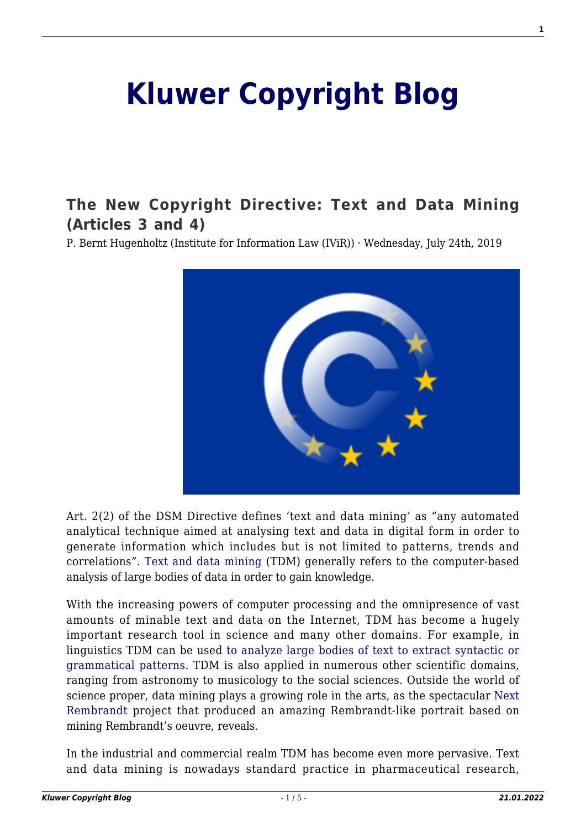## **[Kluwer Copyright Blog](http://copyrightblog.kluweriplaw.com/)**

## **[The New Copyright Directive: Text and Data Mining](http://copyrightblog.kluweriplaw.com/2019/07/24/the-new-copyright-directive-text-and-data-mining-articles-3-and-4/) [\(Articles 3 and 4\)](http://copyrightblog.kluweriplaw.com/2019/07/24/the-new-copyright-directive-text-and-data-mining-articles-3-and-4/)**

P. Bernt Hugenholtz (Institute for Information Law (IViR)) · Wednesday, July 24th, 2019



Art. 2(2) of the DSM Directive defines 'text and data mining' as "any automated analytical technique aimed at analysing text and data in digital form in order to generate information which includes but is not limited to patterns, trends and correlations". [Text and data mining](https://en.wikipedia.org/wiki/Data_mining) (TDM) generally refers to the computer-based analysis of large bodies of data in order to gain knowledge.

With the increasing powers of computer processing and the omnipresence of vast amounts of minable text and data on the Internet, TDM has become a hugely important research tool in science and many other domains. For example, in linguistics TDM can be used [to analyze large bodies of text to extract syntactic or](https://en.wikipedia.org/wiki/Text_mining) [grammatical patterns](https://en.wikipedia.org/wiki/Text_mining). TDM is also applied in numerous other scientific domains, ranging from astronomy to musicology to the social sciences. Outside the world of science proper, data mining plays a growing role in the arts, as the spectacular [Next](https://www.google.com/url?sa=t&rct=j&q=&esrc=s&source=web&cd=1&cad=rja&uact=8&ved=2ahUKEwj5m6yamcHjAhVGDewKHUXWDwAQFjAAegQIARAB&url=https%3A%2F%2Fwww.nextrembrandt.com%2F&usg=AOvVaw2kS10Amm4mdjVIpNmnrXuv) [Rembrandt](https://www.google.com/url?sa=t&rct=j&q=&esrc=s&source=web&cd=1&cad=rja&uact=8&ved=2ahUKEwj5m6yamcHjAhVGDewKHUXWDwAQFjAAegQIARAB&url=https%3A%2F%2Fwww.nextrembrandt.com%2F&usg=AOvVaw2kS10Amm4mdjVIpNmnrXuv) project that produced an amazing Rembrandt-like portrait based on mining Rembrandt's oeuvre, reveals.

In the industrial and commercial realm TDM has become even more pervasive. Text and data mining is nowadays standard practice in pharmaceutical research,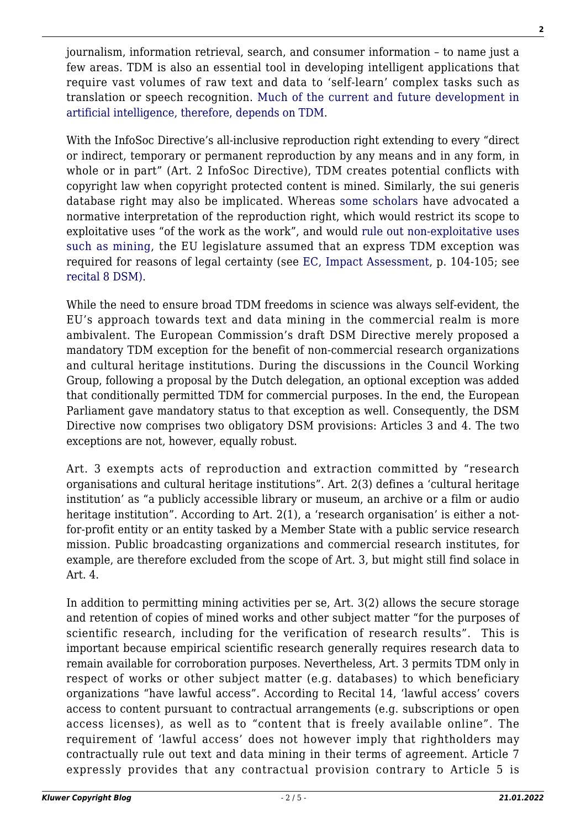journalism, information retrieval, search, and consumer information – to name just a few areas. TDM is also an essential tool in developing intelligent applications that require vast volumes of raw text and data to 'self-learn' complex tasks such as translation or speech recognition. [Much of the current and future development in](https://www.leru.org/news/better-rules-on-text-and-data-mining-are-needed-to-maximise-the-potential-of-artificial-intelligence-in-europe) [artificial intelligence, therefore, depends on TDM](https://www.leru.org/news/better-rules-on-text-and-data-mining-are-needed-to-maximise-the-potential-of-artificial-intelligence-in-europe).

With the InfoSoc Directive's all-inclusive reproduction right extending to every "direct or indirect, temporary or permanent reproduction by any means and in any form, in whole or in part" (Art. 2 InfoSoc Directive), TDM creates potential conflicts with copyright law when copyright protected content is mined. Similarly, the sui generis database right may also be implicated. Whereas [some scholars](http://copyrightblog.kluweriplaw.com/2019/03/19/limitations-to-text-and-data-mining-and-consumer-empowerment-making-the-case-for-a-right-to-machine-legibility/) have advocated a normative interpretation of the reproduction right, which would restrict its scope to exploitative uses "of the work as the work", and would [rule out non-exploitative uses](https://www.ivir.nl/new-book-in-information-law-series-copyright-reconstructed/) [such as mining](https://www.ivir.nl/new-book-in-information-law-series-copyright-reconstructed/), the EU legislature assumed that an express TDM exception was required for reasons of legal certainty (see [EC, Impact Assessment](https://ec.europa.eu/digital-single-market/en/news/impact-assessment-modernisation-eu-copyright-rules), p. 104-105; see [recital 8 DSM\).](https://eur-lex.europa.eu/eli/dir/2019/790/oj)

While the need to ensure broad TDM freedoms in science was always self-evident, the EU's approach towards text and data mining in the commercial realm is more ambivalent. The European Commission's draft DSM Directive merely proposed a mandatory TDM exception for the benefit of non-commercial research organizations and cultural heritage institutions. During the discussions in the Council Working Group, following a proposal by the Dutch delegation, an optional exception was added that conditionally permitted TDM for commercial purposes. In the end, the European Parliament gave mandatory status to that exception as well. Consequently, the DSM Directive now comprises two obligatory DSM provisions: Articles 3 and 4. The two exceptions are not, however, equally robust.

Art. 3 exempts acts of reproduction and extraction committed by "research organisations and cultural heritage institutions". Art. 2(3) defines a 'cultural heritage institution' as "a publicly accessible library or museum, an archive or a film or audio heritage institution". According to Art. 2(1), a 'research organisation' is either a notfor-profit entity or an entity tasked by a Member State with a public service research mission. Public broadcasting organizations and commercial research institutes, for example, are therefore excluded from the scope of Art. 3, but might still find solace in Art. 4.

In addition to permitting mining activities per se, Art. 3(2) allows the secure storage and retention of copies of mined works and other subject matter "for the purposes of scientific research, including for the verification of research results". This is important because empirical scientific research generally requires research data to remain available for corroboration purposes. Nevertheless, Art. 3 permits TDM only in respect of works or other subject matter (e.g. databases) to which beneficiary organizations "have lawful access". According to Recital 14, 'lawful access' covers access to content pursuant to contractual arrangements (e.g. subscriptions or open access licenses), as well as to "content that is freely available online". The requirement of 'lawful access' does not however imply that rightholders may contractually rule out text and data mining in their terms of agreement. Article 7 expressly provides that any contractual provision contrary to Article 5 is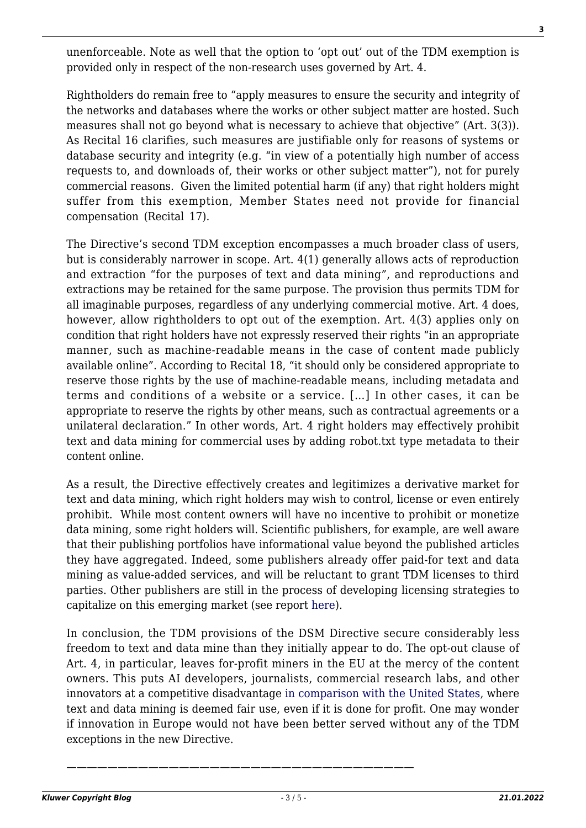unenforceable. Note as well that the option to 'opt out' out of the TDM exemption is provided only in respect of the non-research uses governed by Art. 4.

Rightholders do remain free to "apply measures to ensure the security and integrity of the networks and databases where the works or other subject matter are hosted. Such measures shall not go beyond what is necessary to achieve that objective" (Art. 3(3)). As Recital 16 clarifies, such measures are justifiable only for reasons of systems or database security and integrity (e.g. "in view of a potentially high number of access requests to, and downloads of, their works or other subject matter"), not for purely commercial reasons. Given the limited potential harm (if any) that right holders might suffer from this exemption, Member States need not provide for financial compensation (Recital 17).

The Directive's second TDM exception encompasses a much broader class of users, but is considerably narrower in scope. Art. 4(1) generally allows acts of reproduction and extraction "for the purposes of text and data mining", and reproductions and extractions may be retained for the same purpose. The provision thus permits TDM for all imaginable purposes, regardless of any underlying commercial motive. Art. 4 does, however, allow rightholders to opt out of the exemption. Art. 4(3) applies only on condition that right holders have not expressly reserved their rights "in an appropriate manner, such as machine-readable means in the case of content made publicly available online". According to Recital 18, "it should only be considered appropriate to reserve those rights by the use of machine-readable means, including metadata and terms and conditions of a website or a service. […] In other cases, it can be appropriate to reserve the rights by other means, such as contractual agreements or a unilateral declaration." In other words, Art. 4 right holders may effectively prohibit text and data mining for commercial uses by adding robot.txt type metadata to their content online.

As a result, the Directive effectively creates and legitimizes a derivative market for text and data mining, which right holders may wish to control, license or even entirely prohibit. While most content owners will have no incentive to prohibit or monetize data mining, some right holders will. Scientific publishers, for example, are well aware that their publishing portfolios have informational value beyond the published articles they have aggregated. Indeed, some publishers already offer paid-for text and data mining as value-added services, and will be reluctant to grant TDM licenses to third parties. Other publishers are still in the process of developing licensing strategies to capitalize on this emerging market (see report [here\)](https://pure.uva.nl/ws/files/8885048/FutureTDM_D3.3_Baseline_Report_of_Policies_and_Barriers_of_TDM_in_Europe.pdf).

In conclusion, the TDM provisions of the DSM Directive secure considerably less freedom to text and data mine than they initially appear to do. The opt-out clause of Art. 4, in particular, leaves for-profit miners in the EU at the mercy of the content owners. This puts AI developers, journalists, commercial research labs, and other innovators at a competitive disadvantage [in comparison with the United States](http://copyrightblog.kluweriplaw.com/2018/07/12/eus-controversial-digital-single-market-directive-part-ii-proposed-mandatory-text-data-mining-exception-restrictive/), where text and data mining is deemed fair use, even if it is done for profit. One may wonder if innovation in Europe would not have been better served without any of the TDM exceptions in the new Directive.

*——————————————————————————————————*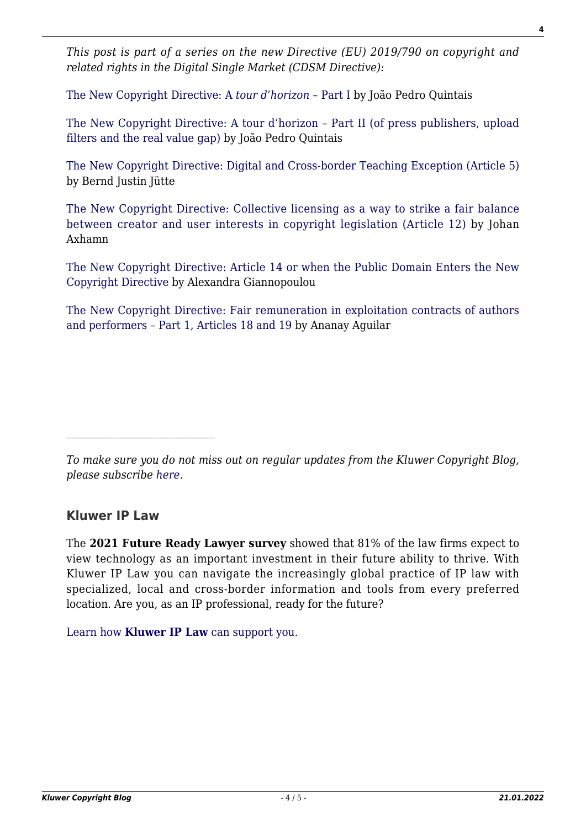*This post is part of a series on the new Directive (EU) 2019/790 on copyright and related rights in the Digital Single Market (CDSM Directive):*

[The New Copyright Directive: A](http://copyrightblog.kluweriplaw.com/2019/06/07/the-new-copyright-directive-a-tour-dhorizon-part-i/) *[tour d'horizon –](http://copyrightblog.kluweriplaw.com/2019/06/07/the-new-copyright-directive-a-tour-dhorizon-part-i/)* [Part I](http://copyrightblog.kluweriplaw.com/2019/06/07/the-new-copyright-directive-a-tour-dhorizon-part-i/) by João Pedro Quintais

[The New Copyright Directive: A tour d'horizon – Part II \(of press publishers, upload](http://copyrightblog.kluweriplaw.com/2019/06/17/the-new-copyright-directive-a-tour-dhorizon-part-ii-of-press-publishers-upload-filters-and-the-real-value-gap/) [filters and the real value gap\)](http://copyrightblog.kluweriplaw.com/2019/06/17/the-new-copyright-directive-a-tour-dhorizon-part-ii-of-press-publishers-upload-filters-and-the-real-value-gap/) by João Pedro Quintais

[The New Copyright Directive: Digital and Cross-border Teaching Exception \(Article 5\)](http://copyrightblog.kluweriplaw.com/2019/06/21/the-new-copyright-directive-digital-and-cross-border-teaching-exception-article-5/) by Bernd Justin Jütte

[The New Copyright Directive: Collective licensing as a way to strike a fair balance](http://copyrightblog.kluweriplaw.com/2019/06/25/the-new-copyright-directive-collective-licensing-as-a-way-to-strike-a-fair-balance-between-creator-and-user-interests-in-copyright-legislation-article-12/) [between creator and user interests in copyright legislation \(Article 12\)](http://copyrightblog.kluweriplaw.com/2019/06/25/the-new-copyright-directive-collective-licensing-as-a-way-to-strike-a-fair-balance-between-creator-and-user-interests-in-copyright-legislation-article-12/) by Johan Axhamn

[The New Copyright Directive: Article 14 or when the Public Domain Enters the New](http://copyrightblog.kluweriplaw.com/2019/06/27/the-new-copyright-directive-article-14-or-when-the-public-domain-enters-the-new-copyright-directive/) [Copyright Directive](http://copyrightblog.kluweriplaw.com/2019/06/27/the-new-copyright-directive-article-14-or-when-the-public-domain-enters-the-new-copyright-directive/) by Alexandra Giannopoulou

[The New Copyright Directive: Fair remuneration in exploitation contracts of authors](http://copyrightblog.kluweriplaw.com/2019/07/15/the-new-copyright-directive-fair-remuneration-in-exploitation-contracts-of-authors-and-performers-part-1-articles-18-and-19/) [and performers – Part 1, Articles 18 and 19](http://copyrightblog.kluweriplaw.com/2019/07/15/the-new-copyright-directive-fair-remuneration-in-exploitation-contracts-of-authors-and-performers-part-1-articles-18-and-19/) by Ananay Aguilar

## **Kluwer IP Law**

The **2021 Future Ready Lawyer survey** showed that 81% of the law firms expect to view technology as an important investment in their future ability to thrive. With Kluwer IP Law you can navigate the increasingly global practice of IP law with specialized, local and cross-border information and tools from every preferred location. Are you, as an IP professional, ready for the future?

[Learn how](https://www.wolterskluwer.com/en/solutions/kluweriplaw?utm_source=copyrightnblog&utm_medium=articleCTA&utm_campaign=article-banner) **[Kluwer IP Law](https://www.wolterskluwer.com/en/solutions/kluweriplaw?utm_source=copyrightnblog&utm_medium=articleCTA&utm_campaign=article-banner)** [can support you.](https://www.wolterskluwer.com/en/solutions/kluweriplaw?utm_source=copyrightnblog&utm_medium=articleCTA&utm_campaign=article-banner)

*To make sure you do not miss out on regular updates from the Kluwer Copyright Blog, please subscribe [here.](http://copyrightblog.kluweriplaw.com/newsletter)*